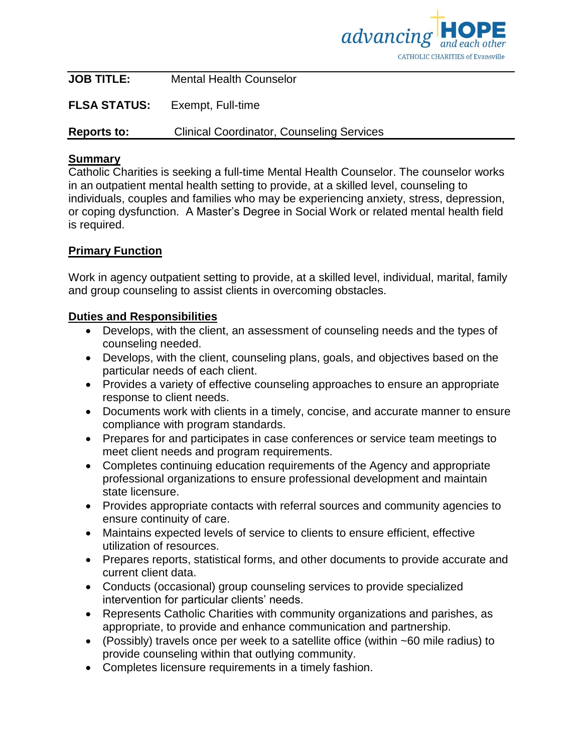

**FLSA STATUS:** Exempt, Full-time

**Reports to:** Clinical Coordinator, Counseling Services

## **Summary**

Catholic Charities is seeking a full-time Mental Health Counselor. The counselor works in an outpatient mental health setting to provide, at a skilled level, counseling to individuals, couples and families who may be experiencing anxiety, stress, depression, or coping dysfunction. A Master's Degree in Social Work or related mental health field is required.

## **Primary Function**

Work in agency outpatient setting to provide, at a skilled level, individual, marital, family and group counseling to assist clients in overcoming obstacles.

## **Duties and Responsibilities**

- Develops, with the client, an assessment of counseling needs and the types of counseling needed.
- Develops, with the client, counseling plans, goals, and objectives based on the particular needs of each client.
- Provides a variety of effective counseling approaches to ensure an appropriate response to client needs.
- Documents work with clients in a timely, concise, and accurate manner to ensure compliance with program standards.
- Prepares for and participates in case conferences or service team meetings to meet client needs and program requirements.
- Completes continuing education requirements of the Agency and appropriate professional organizations to ensure professional development and maintain state licensure.
- Provides appropriate contacts with referral sources and community agencies to ensure continuity of care.
- Maintains expected levels of service to clients to ensure efficient, effective utilization of resources.
- Prepares reports, statistical forms, and other documents to provide accurate and current client data.
- Conducts (occasional) group counseling services to provide specialized intervention for particular clients' needs.
- Represents Catholic Charities with community organizations and parishes, as appropriate, to provide and enhance communication and partnership.
- (Possibly) travels once per week to a satellite office (within ~60 mile radius) to provide counseling within that outlying community.
- Completes licensure requirements in a timely fashion.